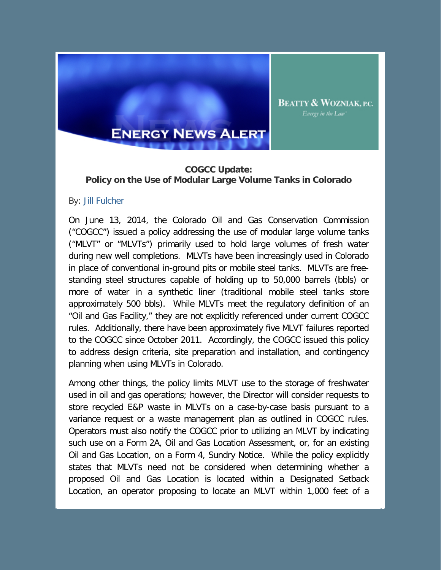

## **COGCC Update: Policy on the Use of Modular Large Volume Tanks in Colorado**

**BEATTY & WOZNIAK, P.C.** Energy in the Law'

## By: Jill Fulcher

On June 13, 2014, the Colorado Oil and Gas Conservation Commission ("COGCC") issued a policy addressing the use of modular large volume tanks ("MLVT" or "MLVTs") primarily used to hold large volumes of fresh water during new well completions. MLVTs have been increasingly used in Colorado in place of conventional in-ground pits or mobile steel tanks. MLVTs are freestanding steel structures capable of holding up to 50,000 barrels (bbls) or more of water in a synthetic liner (traditional mobile steel tanks store approximately 500 bbls). While MLVTs meet the regulatory definition of an "Oil and Gas Facility," they are not explicitly referenced under current COGCC rules. Additionally, there have been approximately five MLVT failures reported to the COGCC since October 2011. Accordingly, the COGCC issued this policy to address design criteria, site preparation and installation, and contingency planning when using MLVTs in Colorado.

Among other things, the policy limits MLVT use to the storage of freshwater used in oil and gas operations; however, the Director will consider requests to store recycled E&P waste in MLVTs on a case-by-case basis pursuant to a variance request or a waste management plan as outlined in COGCC rules. Operators must also notify the COGCC prior to utilizing an MLVT by indicating such use on a Form 2A, Oil and Gas Location Assessment, or, for an existing Oil and Gas Location, on a Form 4, Sundry Notice. While the policy explicitly states that MLVTs need not be considered when determining whether a proposed Oil and Gas Location is located within a Designated Setback Location, an operator proposing to locate an MLVT within 1,000 feet of a